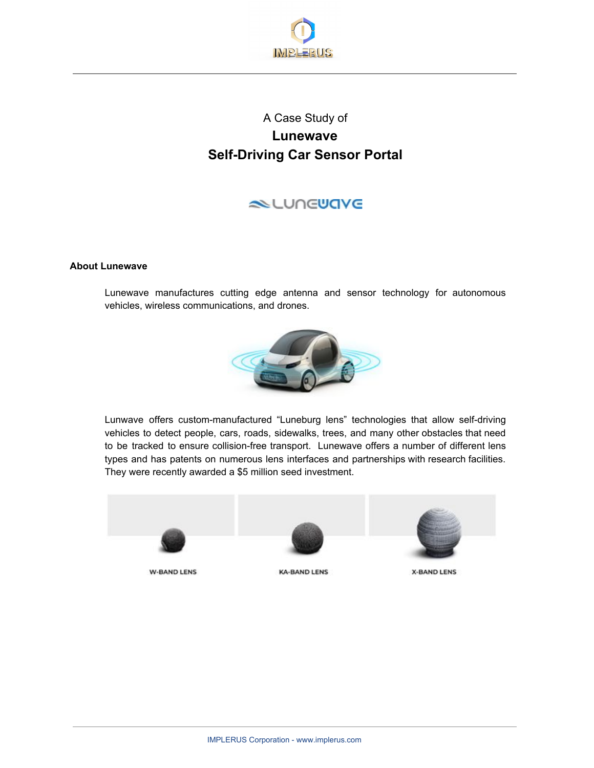

# A Case Study of **Lunewave Self-Driving Car Sensor Portal**

## **NUNGUAVE**

### **About Lunewave**

Lunewave manufactures cutting edge antenna and sensor technology for autonomous vehicles, wireless communications, and drones.



Lunwave offers custom-manufactured "Luneburg lens" technologies that allow self-driving vehicles to detect people, cars, roads, sidewalks, trees, and many other obstacles that need to be tracked to ensure collision-free transport. Lunewave offers a number of different lens types and has patents on numerous lens interfaces and partnerships with research facilities. They were recently awarded a \$5 million seed investment.



**W-BAND LENS** 



**KA-BAND LENS** 



**X-BAND LENS**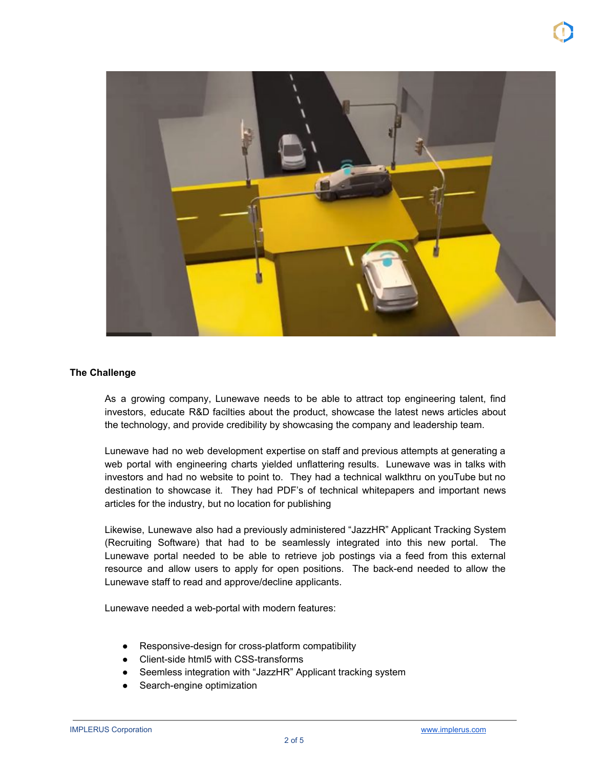

#### **The Challenge**

As a growing company, Lunewave needs to be able to attract top engineering talent, find investors, educate R&D facilties about the product, showcase the latest news articles about the technology, and provide credibility by showcasing the company and leadership team.

Lunewave had no web development expertise on staff and previous attempts at generating a web portal with engineering charts yielded unflattering results. Lunewave was in talks with investors and had no website to point to. They had a technical walkthru on youTube but no destination to showcase it. They had PDF's of technical whitepapers and important news articles for the industry, but no location for publishing

Likewise, Lunewave also had a previously administered "JazzHR" Applicant Tracking System (Recruiting Software) that had to be seamlessly integrated into this new portal. The Lunewave portal needed to be able to retrieve job postings via a feed from this external resource and allow users to apply for open positions. The back-end needed to allow the Lunewave staff to read and approve/decline applicants.

Lunewave needed a web-portal with modern features:

- Responsive-design for cross-platform compatibility
- Client-side html5 with CSS-transforms
- Seemless integration with "JazzHR" Applicant tracking system
- Search-engine optimization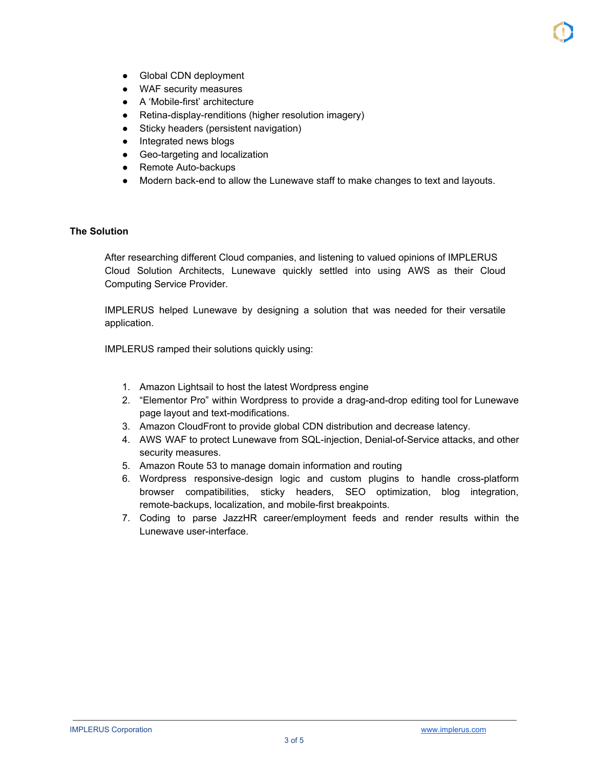- Global CDN deployment
- WAF security measures
- A 'Mobile-first' architecture
- Retina-display-renditions (higher resolution imagery)
- Sticky headers (persistent navigation)
- Integrated news blogs
- Geo-targeting and localization
- Remote Auto-backups
- Modern back-end to allow the Lunewave staff to make changes to text and layouts.

## **The Solution**

After researching different Cloud companies, and listening to valued opinions of IMPLERUS Cloud Solution Architects, Lunewave quickly settled into using AWS as their Cloud Computing Service Provider.

IMPLERUS helped Lunewave by designing a solution that was needed for their versatile application.

IMPLERUS ramped their solutions quickly using:

- 1. Amazon Lightsail to host the latest Wordpress engine
- 2. "Elementor Pro" within Wordpress to provide a drag-and-drop editing tool for Lunewave page layout and text-modifications.
- 3. Amazon CloudFront to provide global CDN distribution and decrease latency.
- 4. AWS WAF to protect Lunewave from SQL-injection, Denial-of-Service attacks, and other security measures.
- 5. Amazon Route 53 to manage domain information and routing
- 6. Wordpress responsive-design logic and custom plugins to handle cross-platform browser compatibilities, sticky headers, SEO optimization, blog integration, remote-backups, localization, and mobile-first breakpoints.
- 7. Coding to parse JazzHR career/employment feeds and render results within the Lunewave user-interface.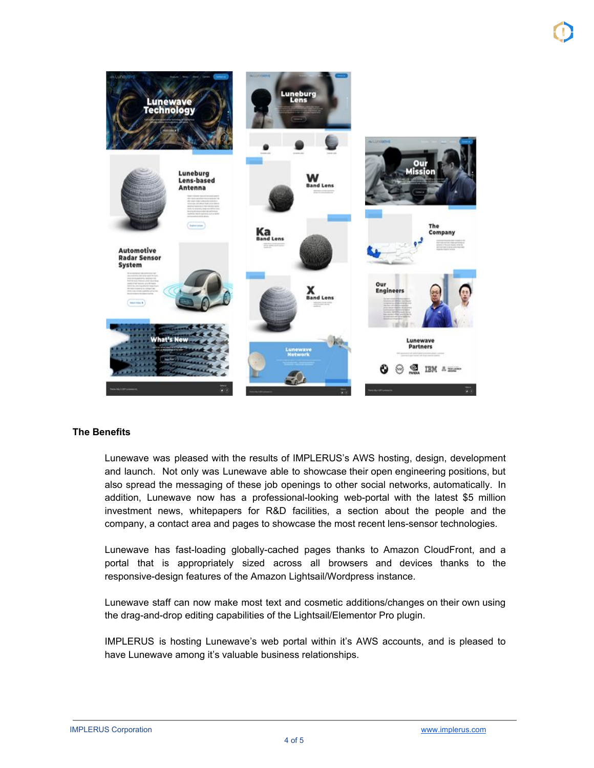

#### **The Benefits**

Lunewave was pleased with the results of IMPLERUS's AWS hosting, design, development and launch. Not only was Lunewave able to showcase their open engineering positions, but also spread the messaging of these job openings to other social networks, automatically. In addition, Lunewave now has a professional-looking web-portal with the latest \$5 million investment news, whitepapers for R&D facilities, a section about the people and the company, a contact area and pages to showcase the most recent lens-sensor technologies.

Lunewave has fast-loading globally-cached pages thanks to Amazon CloudFront, and a portal that is appropriately sized across all browsers and devices thanks to the responsive-design features of the Amazon Lightsail/Wordpress instance.

Lunewave staff can now make most text and cosmetic additions/changes on their own using the drag-and-drop editing capabilities of the Lightsail/Elementor Pro plugin.

IMPLERUS is hosting Lunewave's web portal within it's AWS accounts, and is pleased to have Lunewave among it's valuable business relationships.